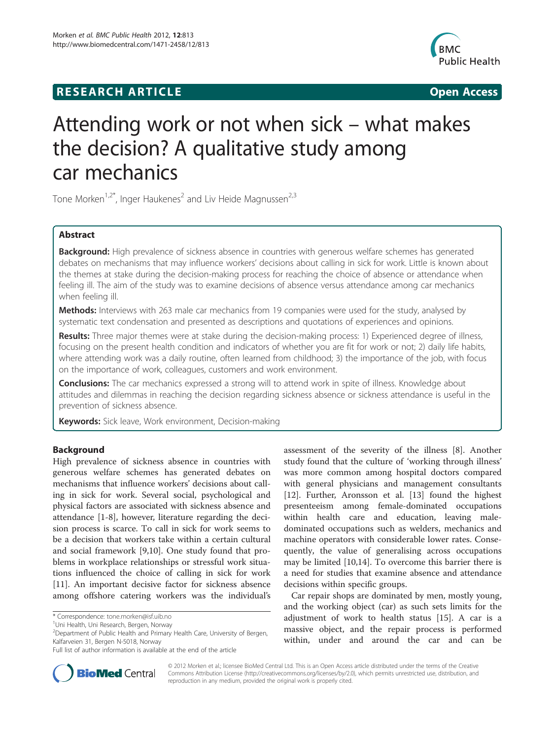# **RESEARCH ARTICLE Example 2014 CONSIDERING CONSIDERING CONSIDERING CONSIDERING CONSIDERING CONSIDERING CONSIDERING CONSIDERING CONSIDERING CONSIDERING CONSIDERING CONSIDERING CONSIDERING CONSIDERING CONSIDERING CONSIDE**



# Attending work or not when sick – what makes the decision? A qualitative study among car mechanics

Tone Morken<sup>1,2\*</sup>, Inger Haukenes<sup>2</sup> and Liv Heide Magnussen<sup>2,3</sup>

# Abstract

Background: High prevalence of sickness absence in countries with generous welfare schemes has generated debates on mechanisms that may influence workers' decisions about calling in sick for work. Little is known about the themes at stake during the decision-making process for reaching the choice of absence or attendance when feeling ill. The aim of the study was to examine decisions of absence versus attendance among car mechanics when feeling ill.

Methods: Interviews with 263 male car mechanics from 19 companies were used for the study, analysed by systematic text condensation and presented as descriptions and quotations of experiences and opinions.

Results: Three major themes were at stake during the decision-making process: 1) Experienced degree of illness, focusing on the present health condition and indicators of whether you are fit for work or not; 2) daily life habits, where attending work was a daily routine, often learned from childhood; 3) the importance of the job, with focus on the importance of work, colleagues, customers and work environment.

Conclusions: The car mechanics expressed a strong will to attend work in spite of illness. Knowledge about attitudes and dilemmas in reaching the decision regarding sickness absence or sickness attendance is useful in the prevention of sickness absence.

Keywords: Sick leave, Work environment, Decision-making

# Background

High prevalence of sickness absence in countries with generous welfare schemes has generated debates on mechanisms that influence workers' decisions about calling in sick for work. Several social, psychological and physical factors are associated with sickness absence and attendance [[1-8](#page-5-0)], however, literature regarding the decision process is scarce. To call in sick for work seems to be a decision that workers take within a certain cultural and social framework [[9,10\]](#page-5-0). One study found that problems in workplace relationships or stressful work situations influenced the choice of calling in sick for work [[11\]](#page-5-0). An important decisive factor for sickness absence among offshore catering workers was the individual's

assessment of the severity of the illness [[8\]](#page-5-0). Another study found that the culture of 'working through illness' was more common among hospital doctors compared with general physicians and management consultants [[12\]](#page-6-0). Further, Aronsson et al. [[13](#page-6-0)] found the highest presenteeism among female-dominated occupations within health care and education, leaving maledominated occupations such as welders, mechanics and machine operators with considerable lower rates. Consequently, the value of generalising across occupations may be limited [\[10,](#page-5-0)[14\]](#page-6-0). To overcome this barrier there is a need for studies that examine absence and attendance decisions within specific groups.

Car repair shops are dominated by men, mostly young, and the working object (car) as such sets limits for the adjustment of work to health status [[15](#page-6-0)]. A car is a massive object, and the repair process is performed within, under and around the car and can be



© 2012 Morken et al.; licensee BioMed Central Ltd. This is an Open Access article distributed under the terms of the Creative Commons Attribution License [\(http://creativecommons.org/licenses/by/2.0\)](http://creativecommons.org/licenses/by/2.0), which permits unrestricted use, distribution, and reproduction in any medium, provided the original work is properly cited.

<sup>\*</sup> Correspondence: [tone.morken@isf.uib.no](mailto:tone.morken@isf.uib.no) <sup>1</sup>

Uni Health, Uni Research, Bergen, Norway

<sup>2</sup> Department of Public Health and Primary Health Care, University of Bergen, Kalfarveien 31, Bergen N-5018, Norway

Full list of author information is available at the end of the article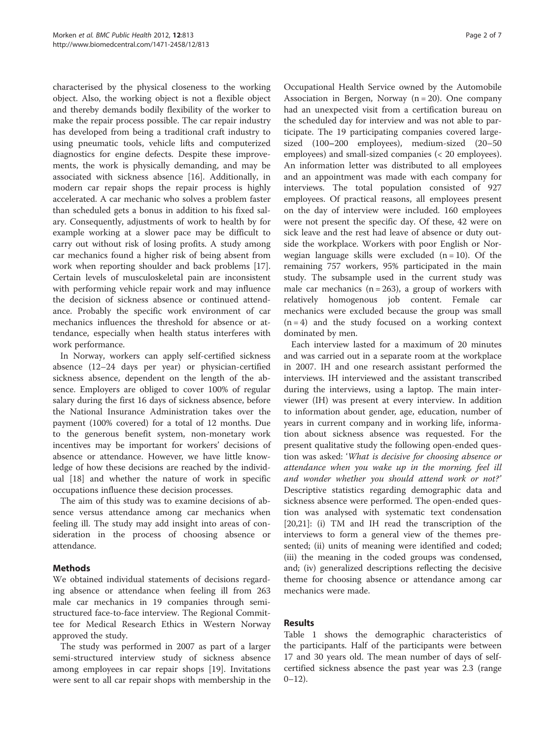characterised by the physical closeness to the working object. Also, the working object is not a flexible object and thereby demands bodily flexibility of the worker to make the repair process possible. The car repair industry has developed from being a traditional craft industry to using pneumatic tools, vehicle lifts and computerized diagnostics for engine defects. Despite these improvements, the work is physically demanding, and may be associated with sickness absence [[16\]](#page-6-0). Additionally, in modern car repair shops the repair process is highly accelerated. A car mechanic who solves a problem faster than scheduled gets a bonus in addition to his fixed salary. Consequently, adjustments of work to health by for example working at a slower pace may be difficult to carry out without risk of losing profits. A study among car mechanics found a higher risk of being absent from work when reporting shoulder and back problems [\[17](#page-6-0)]. Certain levels of musculoskeletal pain are inconsistent with performing vehicle repair work and may influence the decision of sickness absence or continued attendance. Probably the specific work environment of car mechanics influences the threshold for absence or attendance, especially when health status interferes with work performance.

In Norway, workers can apply self-certified sickness absence (12–24 days per year) or physician-certified sickness absence, dependent on the length of the absence. Employers are obliged to cover 100% of regular salary during the first 16 days of sickness absence, before the National Insurance Administration takes over the payment (100% covered) for a total of 12 months. Due to the generous benefit system, non-monetary work incentives may be important for workers' decisions of absence or attendance. However, we have little knowledge of how these decisions are reached by the individual [[18\]](#page-6-0) and whether the nature of work in specific occupations influence these decision processes.

The aim of this study was to examine decisions of absence versus attendance among car mechanics when feeling ill. The study may add insight into areas of consideration in the process of choosing absence or attendance.

# Methods

We obtained individual statements of decisions regarding absence or attendance when feeling ill from 263 male car mechanics in 19 companies through semistructured face-to-face interview. The Regional Committee for Medical Research Ethics in Western Norway approved the study.

The study was performed in 2007 as part of a larger semi-structured interview study of sickness absence among employees in car repair shops [\[19\]](#page-6-0). Invitations were sent to all car repair shops with membership in the

Occupational Health Service owned by the Automobile Association in Bergen, Norway  $(n = 20)$ . One company had an unexpected visit from a certification bureau on the scheduled day for interview and was not able to participate. The 19 participating companies covered largesized (100–200 employees), medium-sized (20–50 employees) and small-sized companies (< 20 employees). An information letter was distributed to all employees and an appointment was made with each company for interviews. The total population consisted of 927 employees. Of practical reasons, all employees present on the day of interview were included. 160 employees were not present the specific day. Of these, 42 were on sick leave and the rest had leave of absence or duty outside the workplace. Workers with poor English or Norwegian language skills were excluded  $(n = 10)$ . Of the remaining 757 workers, 95% participated in the main study. The subsample used in the current study was male car mechanics  $(n = 263)$ , a group of workers with relatively homogenous job content. Female car mechanics were excluded because the group was small  $(n = 4)$  and the study focused on a working context dominated by men.

Each interview lasted for a maximum of 20 minutes and was carried out in a separate room at the workplace in 2007. IH and one research assistant performed the interviews. IH interviewed and the assistant transcribed during the interviews, using a laptop. The main interviewer (IH) was present at every interview. In addition to information about gender, age, education, number of years in current company and in working life, information about sickness absence was requested. For the present qualitative study the following open-ended question was asked: 'What is decisive for choosing absence or attendance when you wake up in the morning, feel ill and wonder whether you should attend work or not?' Descriptive statistics regarding demographic data and sickness absence were performed. The open-ended question was analysed with systematic text condensation [[20,21\]](#page-6-0): (i) TM and IH read the transcription of the interviews to form a general view of the themes presented; (ii) units of meaning were identified and coded; (iii) the meaning in the coded groups was condensed, and; (iv) generalized descriptions reflecting the decisive theme for choosing absence or attendance among car mechanics were made.

# Results

Table [1](#page-2-0) shows the demographic characteristics of the participants. Half of the participants were between 17 and 30 years old. The mean number of days of selfcertified sickness absence the past year was 2.3 (range  $0-12$ ).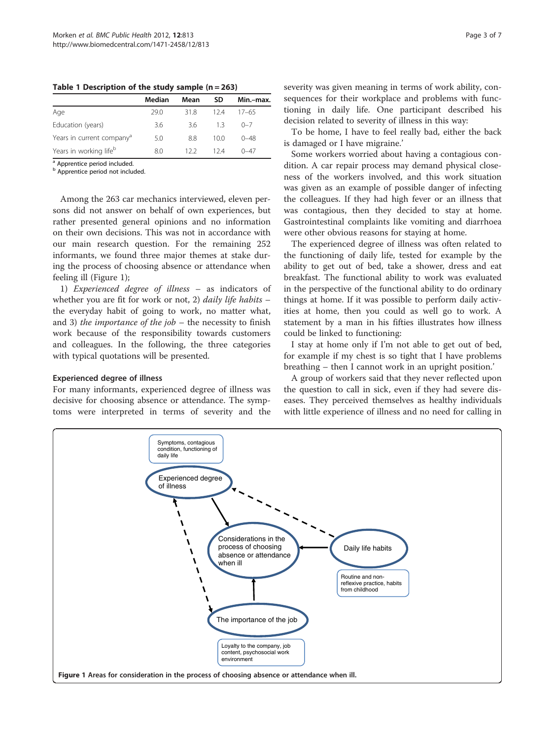<span id="page-2-0"></span>Table 1 Description of the study sample  $(n = 263)$ 

|                                       | Median | Mean | SD   | Min.-max. |
|---------------------------------------|--------|------|------|-----------|
| Age                                   | 29.0   | 31.8 | 124  | $17 - 65$ |
| Education (years)                     | 3.6    | 36.  | 13   | $0 - 7$   |
| Years in current company <sup>a</sup> | 5.0    | 8.8  | 10 O | $0 - 48$  |
| Years in working lifeb                | 8.0    | 122  | 124  | $0 - 47$  |

<sup>a</sup> Apprentice period included.

<sup>b</sup> Apprentice period not included.

Among the 263 car mechanics interviewed, eleven persons did not answer on behalf of own experiences, but rather presented general opinions and no information on their own decisions. This was not in accordance with our main research question. For the remaining 252 informants, we found three major themes at stake during the process of choosing absence or attendance when feeling ill (Figure 1);

1) Experienced degree of illness – as indicators of whether you are fit for work or not, 2) *daily life habits* – the everyday habit of going to work, no matter what, and 3) the importance of the job  $-$  the necessity to finish work because of the responsibility towards customers and colleagues. In the following, the three categories with typical quotations will be presented.

#### Experienced degree of illness

For many informants, experienced degree of illness was decisive for choosing absence or attendance. The symptoms were interpreted in terms of severity and the

To be home, I have to feel really bad, either the back is damaged or I have migraine.'

Some workers worried about having a contagious condition. A car repair process may demand physical closeness of the workers involved, and this work situation was given as an example of possible danger of infecting the colleagues. If they had high fever or an illness that was contagious, then they decided to stay at home. Gastrointestinal complaints like vomiting and diarrhoea were other obvious reasons for staying at home.

The experienced degree of illness was often related to the functioning of daily life, tested for example by the ability to get out of bed, take a shower, dress and eat breakfast. The functional ability to work was evaluated in the perspective of the functional ability to do ordinary things at home. If it was possible to perform daily activities at home, then you could as well go to work. A statement by a man in his fifties illustrates how illness could be linked to functioning:

I stay at home only if I'm not able to get out of bed, for example if my chest is so tight that I have problems breathing – then I cannot work in an upright position.'

A group of workers said that they never reflected upon the question to call in sick, even if they had severe diseases. They perceived themselves as healthy individuals with little experience of illness and no need for calling in

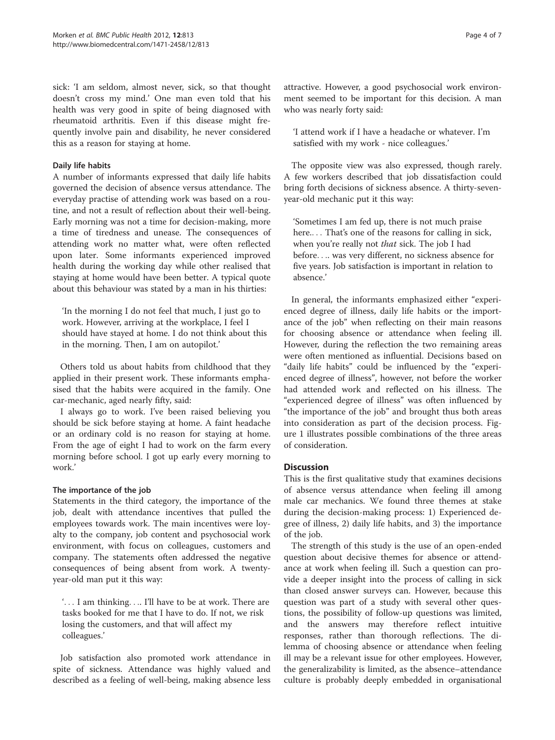sick: 'I am seldom, almost never, sick, so that thought doesn't cross my mind.' One man even told that his health was very good in spite of being diagnosed with rheumatoid arthritis. Even if this disease might frequently involve pain and disability, he never considered this as a reason for staying at home.

#### Daily life habits

A number of informants expressed that daily life habits governed the decision of absence versus attendance. The everyday practise of attending work was based on a routine, and not a result of reflection about their well-being. Early morning was not a time for decision-making, more a time of tiredness and unease. The consequences of attending work no matter what, were often reflected upon later. Some informants experienced improved health during the working day while other realised that staying at home would have been better. A typical quote about this behaviour was stated by a man in his thirties:

'In the morning I do not feel that much, I just go to work. However, arriving at the workplace, I feel I should have stayed at home. I do not think about this in the morning. Then, I am on autopilot.'

Others told us about habits from childhood that they applied in their present work. These informants emphasised that the habits were acquired in the family. One car-mechanic, aged nearly fifty, said:

I always go to work. I've been raised believing you should be sick before staying at home. A faint headache or an ordinary cold is no reason for staying at home. From the age of eight I had to work on the farm every morning before school. I got up early every morning to work.'

# The importance of the job

Statements in the third category, the importance of the job, dealt with attendance incentives that pulled the employees towards work. The main incentives were loyalty to the company, job content and psychosocial work environment, with focus on colleagues, customers and company. The statements often addressed the negative consequences of being absent from work. A twentyyear-old man put it this way:

'... I am thinking.... I'll have to be at work. There are tasks booked for me that I have to do. If not, we risk losing the customers, and that will affect my colleagues.'

Job satisfaction also promoted work attendance in spite of sickness. Attendance was highly valued and described as a feeling of well-being, making absence less 'I attend work if I have a headache or whatever. I'm satisfied with my work - nice colleagues.'

The opposite view was also expressed, though rarely. A few workers described that job dissatisfaction could bring forth decisions of sickness absence. A thirty-sevenyear-old mechanic put it this way:

'Sometimes I am fed up, there is not much praise here.... That's one of the reasons for calling in sick, when you're really not *that* sick. The job I had before.... was very different, no sickness absence for five years. Job satisfaction is important in relation to absence.'

In general, the informants emphasized either "experienced degree of illness, daily life habits or the importance of the job" when reflecting on their main reasons for choosing absence or attendance when feeling ill. However, during the reflection the two remaining areas were often mentioned as influential. Decisions based on "daily life habits" could be influenced by the "experienced degree of illness", however, not before the worker had attended work and reflected on his illness. The "experienced degree of illness" was often influenced by "the importance of the job" and brought thus both areas into consideration as part of the decision process. Figure [1](#page-2-0) illustrates possible combinations of the three areas of consideration.

# Discussion

This is the first qualitative study that examines decisions of absence versus attendance when feeling ill among male car mechanics. We found three themes at stake during the decision-making process: 1) Experienced degree of illness, 2) daily life habits, and 3) the importance of the job.

The strength of this study is the use of an open-ended question about decisive themes for absence or attendance at work when feeling ill. Such a question can provide a deeper insight into the process of calling in sick than closed answer surveys can. However, because this question was part of a study with several other questions, the possibility of follow-up questions was limited, and the answers may therefore reflect intuitive responses, rather than thorough reflections. The dilemma of choosing absence or attendance when feeling ill may be a relevant issue for other employees. However, the generalizability is limited, as the absence–attendance culture is probably deeply embedded in organisational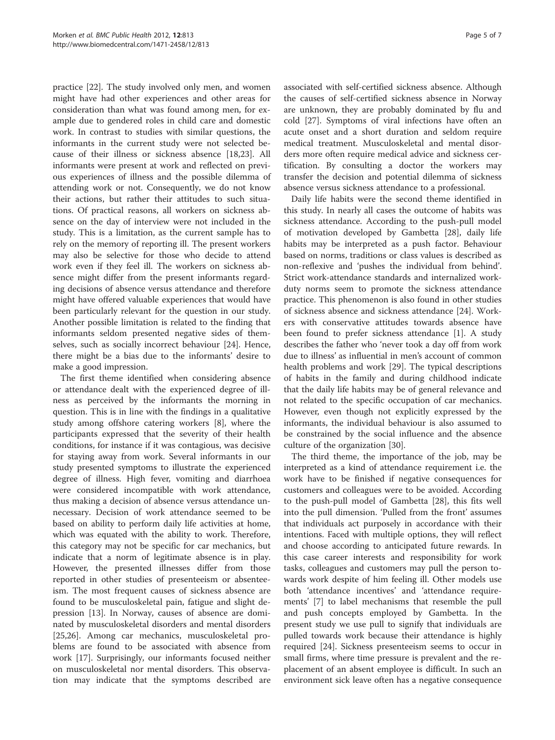practice [[22](#page-6-0)]. The study involved only men, and women might have had other experiences and other areas for consideration than what was found among men, for example due to gendered roles in child care and domestic work. In contrast to studies with similar questions, the informants in the current study were not selected because of their illness or sickness absence [[18,23\]](#page-6-0). All informants were present at work and reflected on previous experiences of illness and the possible dilemma of attending work or not. Consequently, we do not know their actions, but rather their attitudes to such situations. Of practical reasons, all workers on sickness absence on the day of interview were not included in the study. This is a limitation, as the current sample has to rely on the memory of reporting ill. The present workers may also be selective for those who decide to attend work even if they feel ill. The workers on sickness absence might differ from the present informants regarding decisions of absence versus attendance and therefore might have offered valuable experiences that would have been particularly relevant for the question in our study. Another possible limitation is related to the finding that informants seldom presented negative sides of themselves, such as socially incorrect behaviour [\[24\]](#page-6-0). Hence, there might be a bias due to the informants' desire to make a good impression.

The first theme identified when considering absence or attendance dealt with the experienced degree of illness as perceived by the informants the morning in question. This is in line with the findings in a qualitative study among offshore catering workers [[8\]](#page-5-0), where the participants expressed that the severity of their health conditions, for instance if it was contagious, was decisive for staying away from work. Several informants in our study presented symptoms to illustrate the experienced degree of illness. High fever, vomiting and diarrhoea were considered incompatible with work attendance, thus making a decision of absence versus attendance unnecessary. Decision of work attendance seemed to be based on ability to perform daily life activities at home, which was equated with the ability to work. Therefore, this category may not be specific for car mechanics, but indicate that a norm of legitimate absence is in play. However, the presented illnesses differ from those reported in other studies of presenteeism or absenteeism. The most frequent causes of sickness absence are found to be musculoskeletal pain, fatigue and slight depression [\[13](#page-6-0)]. In Norway, causes of absence are dominated by musculoskeletal disorders and mental disorders [[25,26\]](#page-6-0). Among car mechanics, musculoskeletal problems are found to be associated with absence from work [[17](#page-6-0)]. Surprisingly, our informants focused neither on musculoskeletal nor mental disorders. This observation may indicate that the symptoms described are

associated with self-certified sickness absence. Although the causes of self-certified sickness absence in Norway are unknown, they are probably dominated by flu and cold [\[27\]](#page-6-0). Symptoms of viral infections have often an acute onset and a short duration and seldom require medical treatment. Musculoskeletal and mental disorders more often require medical advice and sickness certification. By consulting a doctor the workers may transfer the decision and potential dilemma of sickness absence versus sickness attendance to a professional.

Daily life habits were the second theme identified in this study. In nearly all cases the outcome of habits was sickness attendance. According to the push-pull model of motivation developed by Gambetta [\[28\]](#page-6-0), daily life habits may be interpreted as a push factor. Behaviour based on norms, traditions or class values is described as non-reflexive and 'pushes the individual from behind'. Strict work-attendance standards and internalized workduty norms seem to promote the sickness attendance practice. This phenomenon is also found in other studies of sickness absence and sickness attendance [\[24\]](#page-6-0). Workers with conservative attitudes towards absence have been found to prefer sickness attendance [[1\]](#page-5-0). A study describes the father who 'never took a day off from work due to illness' as influential in men's account of common health problems and work [[29\]](#page-6-0). The typical descriptions of habits in the family and during childhood indicate that the daily life habits may be of general relevance and not related to the specific occupation of car mechanics. However, even though not explicitly expressed by the informants, the individual behaviour is also assumed to be constrained by the social influence and the absence culture of the organization [\[30](#page-6-0)].

The third theme, the importance of the job, may be interpreted as a kind of attendance requirement i.e. the work have to be finished if negative consequences for customers and colleagues were to be avoided. According to the push-pull model of Gambetta [[28\]](#page-6-0), this fits well into the pull dimension. 'Pulled from the front' assumes that individuals act purposely in accordance with their intentions. Faced with multiple options, they will reflect and choose according to anticipated future rewards. In this case career interests and responsibility for work tasks, colleagues and customers may pull the person towards work despite of him feeling ill. Other models use both 'attendance incentives' and 'attendance requirements' [\[7](#page-5-0)] to label mechanisms that resemble the pull and push concepts employed by Gambetta. In the present study we use pull to signify that individuals are pulled towards work because their attendance is highly required [[24](#page-6-0)]. Sickness presenteeism seems to occur in small firms, where time pressure is prevalent and the replacement of an absent employee is difficult. In such an environment sick leave often has a negative consequence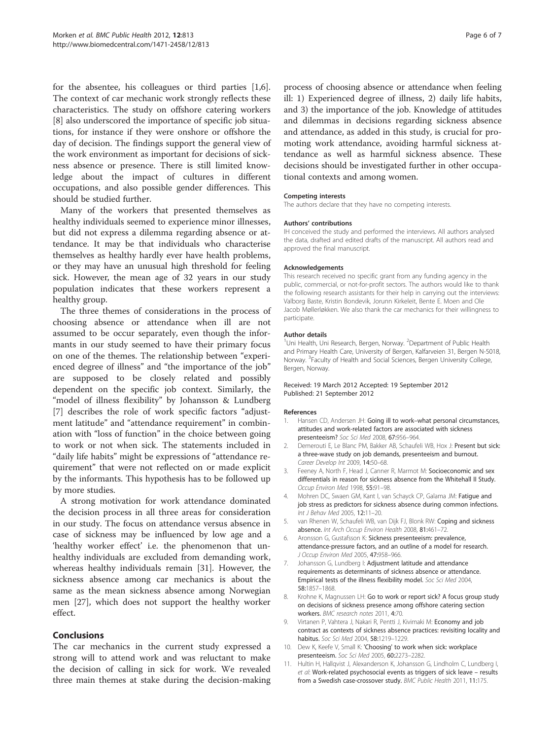<span id="page-5-0"></span>for the absentee, his colleagues or third parties [1,6]. The context of car mechanic work strongly reflects these characteristics. The study on offshore catering workers [8] also underscored the importance of specific job situations, for instance if they were onshore or offshore the day of decision. The findings support the general view of the work environment as important for decisions of sickness absence or presence. There is still limited knowledge about the impact of cultures in different occupations, and also possible gender differences. This should be studied further.

Many of the workers that presented themselves as healthy individuals seemed to experience minor illnesses, but did not express a dilemma regarding absence or attendance. It may be that individuals who characterise themselves as healthy hardly ever have health problems, or they may have an unusual high threshold for feeling sick. However, the mean age of 32 years in our study population indicates that these workers represent a healthy group.

The three themes of considerations in the process of choosing absence or attendance when ill are not assumed to be occur separately, even though the informants in our study seemed to have their primary focus on one of the themes. The relationship between "experienced degree of illness" and "the importance of the job" are supposed to be closely related and possibly dependent on the specific job context. Similarly, the "model of illness flexibility" by Johansson & Lundberg [7] describes the role of work specific factors "adjustment latitude" and "attendance requirement" in combination with "loss of function" in the choice between going to work or not when sick. The statements included in "daily life habits" might be expressions of "attendance requirement" that were not reflected on or made explicit by the informants. This hypothesis has to be followed up by more studies.

A strong motivation for work attendance dominated the decision process in all three areas for consideration in our study. The focus on attendance versus absence in case of sickness may be influenced by low age and a 'healthy worker effect' i.e. the phenomenon that unhealthy individuals are excluded from demanding work, whereas healthy individuals remain [[31\]](#page-6-0). However, the sickness absence among car mechanics is about the same as the mean sickness absence among Norwegian men [[27](#page-6-0)], which does not support the healthy worker effect.

# Conclusions

The car mechanics in the current study expressed a strong will to attend work and was reluctant to make the decision of calling in sick for work. We revealed three main themes at stake during the decision-making process of choosing absence or attendance when feeling ill: 1) Experienced degree of illness, 2) daily life habits, and 3) the importance of the job. Knowledge of attitudes and dilemmas in decisions regarding sickness absence and attendance, as added in this study, is crucial for promoting work attendance, avoiding harmful sickness attendance as well as harmful sickness absence. These decisions should be investigated further in other occupational contexts and among women.

#### Competing interests

The authors declare that they have no competing interests.

#### Authors' contributions

IH conceived the study and performed the interviews. All authors analysed the data, drafted and edited drafts of the manuscript. All authors read and approved the final manuscript.

#### Acknowledgements

This research received no specific grant from any funding agency in the public, commercial, or not-for-profit sectors. The authors would like to thank the following research assistants for their help in carrying out the interviews: Valborg Baste, Kristin Bondevik, Jorunn Kirkeleit, Bente E. Moen and Ole Jacob Møllerløkken. We also thank the car mechanics for their willingness to participate.

#### Author details

<sup>1</sup>Uni Health, Uni Research, Bergen, Norway. <sup>2</sup>Department of Public Health and Primary Health Care, University of Bergen, Kalfarveien 31, Bergen N-5018, Norway. <sup>3</sup>Faculty of Health and Social Sciences, Bergen University College, Bergen, Norway.

#### Received: 19 March 2012 Accepted: 19 September 2012 Published: 21 September 2012

#### References

- 1. Hansen CD, Andersen JH: Going ill to work-what personal circumstances, attitudes and work-related factors are associated with sickness presenteeism? Soc Sci Med 2008, 67:956–964.
- 2. Demerouti E, Le Blanc PM, Bakker AB, Schaufeli WB, Hox J: Present but sick: a three-wave study on job demands, presenteeism and burnout. Career Develop Int 2009, 14:50–68.
- 3. Feeney A, North F, Head J, Canner R, Marmot M: Socioeconomic and sex differentials in reason for sickness absence from the Whitehall II Study. Occup Environ Med 1998, 55:91–98.
- 4. Mohren DC, Swaen GM, Kant I, van Schayck CP, Galama JM: Fatique and job stress as predictors for sickness absence during common infections. Int J Behav Med 2005, 12:11–20.
- 5. van Rhenen W, Schaufeli WB, van Dijk FJ, Blonk RW: Coping and sickness absence. Int Arch Occup Environ Health 2008, 81:461–72.
- 6. Aronsson G, Gustafsson K: Sickness presenteeism: prevalence, attendance-pressure factors, and an outline of a model for research. J Occup Environ Med 2005, 47:958–966.
- 7. Johansson G, Lundberg I: Adjustment latitude and attendance requirements as determinants of sickness absence or attendance. Empirical tests of the illness flexibility model. Soc Sci Med 2004, 58:1857–1868.
- 8. Krohne K, Magnussen LH: Go to work or report sick? A focus group study on decisions of sickness presence among offshore catering section workers. BMC research notes 2011, 4:70.
- 9. Virtanen P, Vahtera J, Nakari R, Pentti J, Kivimaki M: Economy and job contract as contexts of sickness absence practices: revisiting locality and habitus. Soc Sci Med 2004, 58:1219–1229.
- 10. Dew K, Keefe V, Small K: 'Choosing' to work when sick: workplace presenteeism. Soc Sci Med 2005, 60:2273–2282.
- 11. Hultin H, Hallqvist J, Alexanderson K, Johansson G, Lindholm C, Lundberg I, et al: Work-related psychosocial events as triggers of sick leave – results from a Swedish case-crossover study. BMC Public Health 2011, 11:175.